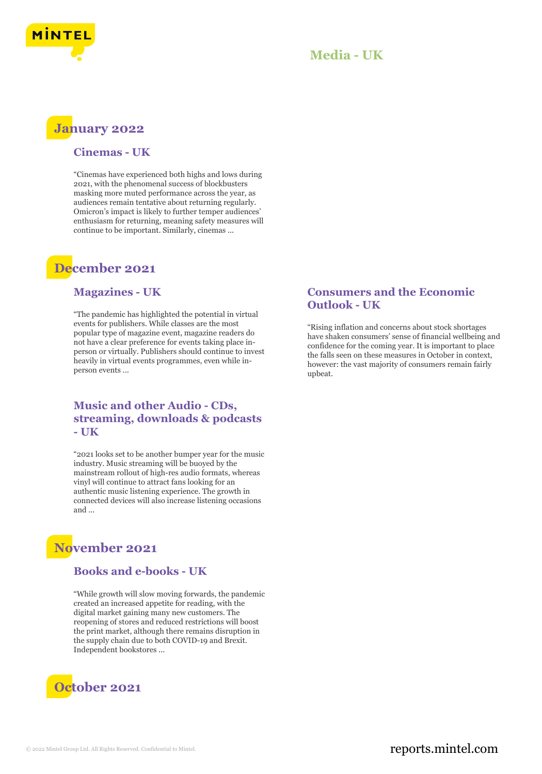

# **January 2022**

#### **Cinemas - UK**

"Cinemas have experienced both highs and lows during 2021, with the phenomenal success of blockbusters masking more muted performance across the year, as audiences remain tentative about returning regularly. Omicron's impact is likely to further temper audiences' enthusiasm for returning, meaning safety measures will continue to be important. Similarly, cinemas ...

# **December 2021**

### **Magazines - UK**

"The pandemic has highlighted the potential in virtual events for publishers. While classes are the most popular type of magazine event, magazine readers do not have a clear preference for events taking place inperson or virtually. Publishers should continue to invest heavily in virtual events programmes, even while inperson events ...

### **Music and other Audio - CDs, streaming, downloads & podcasts - UK**

"2021 looks set to be another bumper year for the music industry. Music streaming will be buoyed by the mainstream rollout of high-res audio formats, whereas vinyl will continue to attract fans looking for an authentic music listening experience. The growth in connected devices will also increase listening occasions and ...

# **November 2021**

### **Books and e-books - UK**

"While growth will slow moving forwards, the pandemic created an increased appetite for reading, with the digital market gaining many new customers. The reopening of stores and reduced restrictions will boost the print market, although there remains disruption in the supply chain due to both COVID-19 and Brexit. Independent bookstores ...



## **Consumers and the Economic Outlook - UK**

"Rising inflation and concerns about stock shortages have shaken consumers' sense of financial wellbeing and confidence for the coming year. It is important to place the falls seen on these measures in October in context, however: the vast majority of consumers remain fairly upbeat.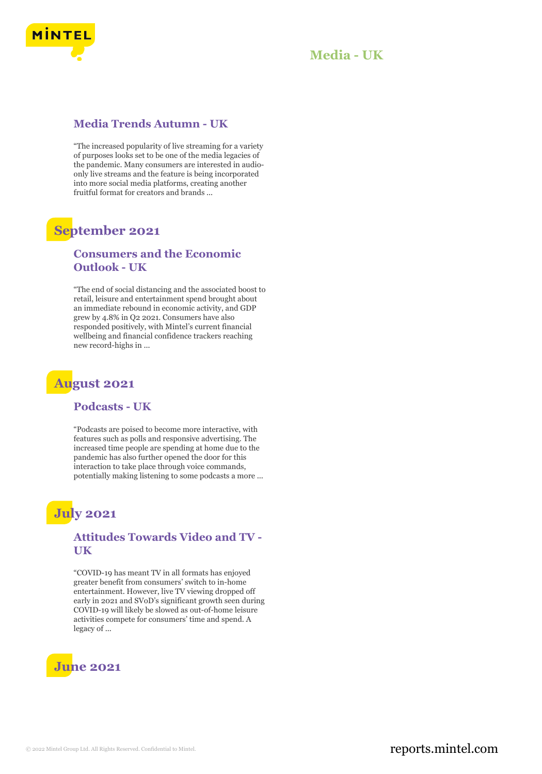

## **Media Trends Autumn - UK**

"The increased popularity of live streaming for a variety of purposes looks set to be one of the media legacies of the pandemic. Many consumers are interested in audioonly live streams and the feature is being incorporated into more social media platforms, creating another fruitful format for creators and brands ...

# **September 2021**

### **Consumers and the Economic Outlook - UK**

"The end of social distancing and the associated boost to retail, leisure and entertainment spend brought about an immediate rebound in economic activity, and GDP grew by 4.8% in Q2 2021. Consumers have also responded positively, with Mintel's current financial wellbeing and financial confidence trackers reaching new record-highs in ...

# **August 2021**

#### **Podcasts - UK**

"Podcasts are poised to become more interactive, with features such as polls and responsive advertising. The increased time people are spending at home due to the pandemic has also further opened the door for this interaction to take place through voice commands, potentially making listening to some podcasts a more ...

# **July 2021**

## **Attitudes Towards Video and TV - UK**

"COVID-19 has meant TV in all formats has enjoyed greater benefit from consumers' switch to in-home entertainment. However, live TV viewing dropped off early in 2021 and SVoD's significant growth seen during COVID-19 will likely be slowed as out-of-home leisure activities compete for consumers' time and spend. A legacy of ...

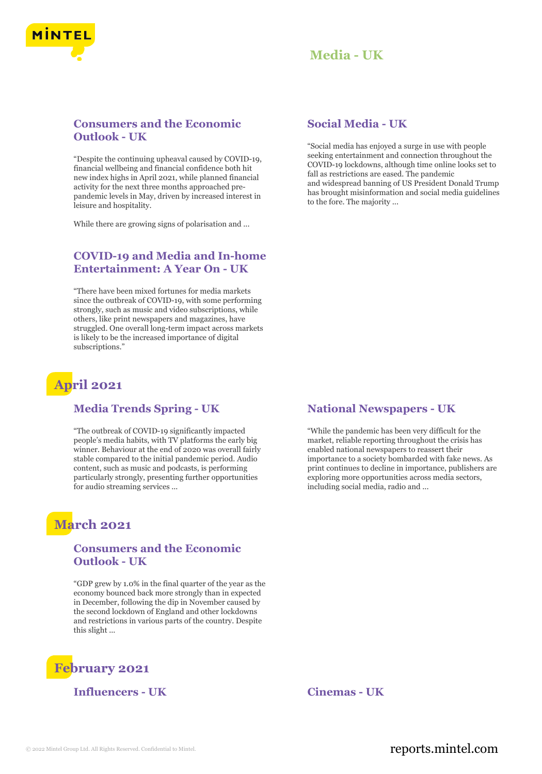

### **Consumers and the Economic Outlook - UK**

"Despite the continuing upheaval caused by COVID-19, financial wellbeing and financial confidence both hit new index highs in April 2021, while planned financial activity for the next three months approached prepandemic levels in May, driven by increased interest in leisure and hospitality.

While there are growing signs of polarisation and ...

## **COVID-19 and Media and In-home Entertainment: A Year On - UK**

"There have been mixed fortunes for media markets since the outbreak of COVID-19, with some performing strongly, such as music and video subscriptions, while others, like print newspapers and magazines, have struggled. One overall long-term impact across markets is likely to be the increased importance of digital subscriptions."

# **April 2021**

#### **Media Trends Spring - UK**

"The outbreak of COVID-19 significantly impacted people's media habits, with TV platforms the early big winner. Behaviour at the end of 2020 was overall fairly stable compared to the initial pandemic period. Audio content, such as music and podcasts, is performing particularly strongly, presenting further opportunities for audio streaming services ...

# **March 2021**

#### **Consumers and the Economic Outlook - UK**

"GDP grew by 1.0% in the final quarter of the year as the economy bounced back more strongly than in expected in December, following the dip in November caused by the second lockdown of England and other lockdowns and restrictions in various parts of the country. Despite this slight ...



**Influencers - UK Cinemas - UK**

#### **Social Media - UK**

"Social media has enjoyed a surge in use with people seeking entertainment and connection throughout the COVID-19 lockdowns, although time online looks set to fall as restrictions are eased. The pandemic and widespread banning of US President Donald Trump has brought misinformation and social media guidelines to the fore. The majority ...

#### **National Newspapers - UK**

"While the pandemic has been very difficult for the market, reliable reporting throughout the crisis has enabled national newspapers to reassert their importance to a society bombarded with fake news. As print continues to decline in importance, publishers are exploring more opportunities across media sectors, including social media, radio and ...